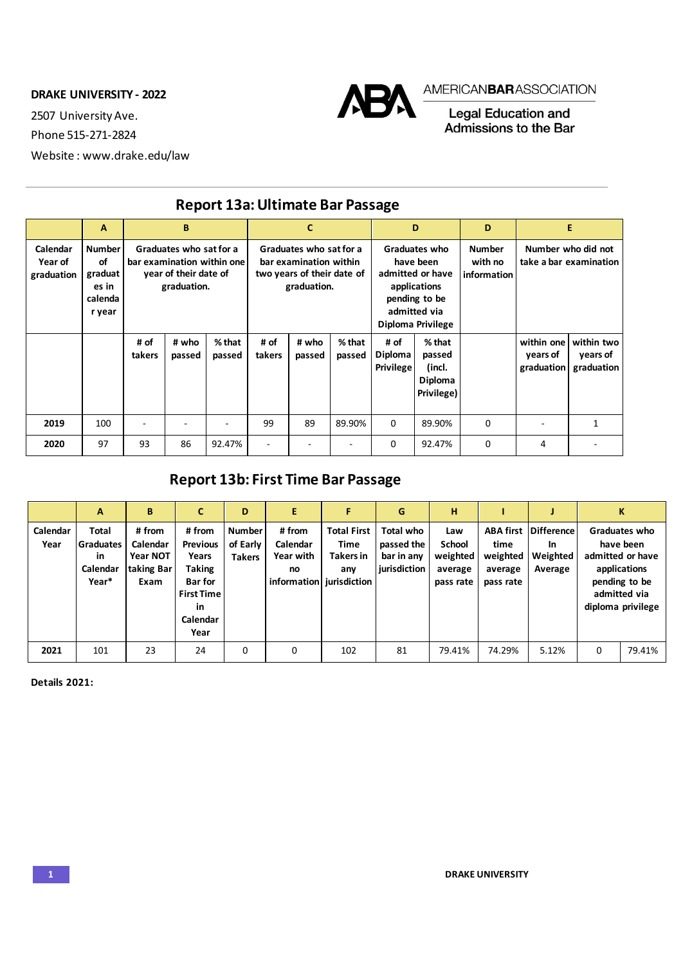**DRAKE UNIVERSITY - 2022**

2507 University Ave.

Phone 515-271-2824

Website : www.drake.edu/law



## AMERICAN**BAR**ASSOCIATION

Legal Education and<br>Admissions to the Bar

|                                   | A                                                            |                                                                                               | B               |                    |                                                                                                | $\mathbf{C}$    |                    | D                                                                                                                    |                                                       | D                                       | E                                            |                                      |
|-----------------------------------|--------------------------------------------------------------|-----------------------------------------------------------------------------------------------|-----------------|--------------------|------------------------------------------------------------------------------------------------|-----------------|--------------------|----------------------------------------------------------------------------------------------------------------------|-------------------------------------------------------|-----------------------------------------|----------------------------------------------|--------------------------------------|
| Calendar<br>Year of<br>graduation | <b>Number</b><br>of<br>graduat<br>es in<br>calenda<br>r year | Graduates who sat for a<br>bar examination within one<br>year of their date of<br>graduation. |                 |                    | Graduates who sat for a<br>bar examination within<br>two years of their date of<br>graduation. |                 |                    | Graduates who<br>have been<br>admitted or have<br>applications<br>pending to be<br>admitted via<br>Diploma Privilege |                                                       | <b>Number</b><br>with no<br>information | Number who did not<br>take a bar examination |                                      |
|                                   |                                                              | # of<br>takers                                                                                | # who<br>passed | $%$ that<br>passed | # of<br>takers                                                                                 | # who<br>passed | $%$ that<br>passed | # of<br>Diploma<br><b>Privilege</b>                                                                                  | $%$ that<br>passed<br>(incl.<br>Diploma<br>Privilege) |                                         | within one<br>years of<br>graduation         | within two<br>years of<br>graduation |
| 2019                              | 100                                                          |                                                                                               |                 | ٠                  | 99                                                                                             | 89              | 89.90%             | 0                                                                                                                    | 89.90%                                                | $\Omega$                                |                                              | 1                                    |
| 2020                              | 97                                                           | 93                                                                                            | 86              | 92.47%             | $\overline{\phantom{a}}$                                                                       |                 |                    | 0                                                                                                                    | 92.47%                                                | 0                                       | 4                                            |                                      |

## **Report 13a: Ultimate Bar Passage**

## **Report 13b: First Time Bar Passage**

|                  | A                                                    | B                                                           | C                                                                                                            | D                                          | E                                                                 | F                                                     | G                                                     | н                                                        |                                                              |                                                       |   | ĸ                                                                                                                    |
|------------------|------------------------------------------------------|-------------------------------------------------------------|--------------------------------------------------------------------------------------------------------------|--------------------------------------------|-------------------------------------------------------------------|-------------------------------------------------------|-------------------------------------------------------|----------------------------------------------------------|--------------------------------------------------------------|-------------------------------------------------------|---|----------------------------------------------------------------------------------------------------------------------|
| Calendar<br>Year | Total<br><b>Graduates</b><br>in<br>Calendar<br>Year* | # from<br>Calendar<br><b>Year NOT</b><br>taking Bar<br>Exam | #from<br><b>Previous</b><br>Years<br>Taking<br><b>Bar</b> for<br><b>First Time</b><br>in<br>Calendar<br>Year | <b>Number</b><br>of Early<br><b>Takers</b> | # from<br>Calendar<br>Year with<br>no<br>information jurisdiction | <b>Total First</b><br>Time<br><b>Takers in</b><br>any | Total who<br>passed the<br>bar in any<br>jurisdiction | Law<br><b>School</b><br>weighted<br>average<br>pass rate | <b>ABA first</b><br>time<br>weighted<br>average<br>pass rate | <b>Difference</b><br><b>In</b><br>Weighted<br>Average |   | Graduates who<br>have been<br>admitted or have<br>applications<br>pending to be<br>admitted via<br>diploma privilege |
| 2021             | 101                                                  | 23                                                          | 24                                                                                                           | 0                                          | 0                                                                 | 102                                                   | 81                                                    | 79.41%                                                   | 74.29%                                                       | 5.12%                                                 | 0 | 79.41%                                                                                                               |

**Details 2021:**